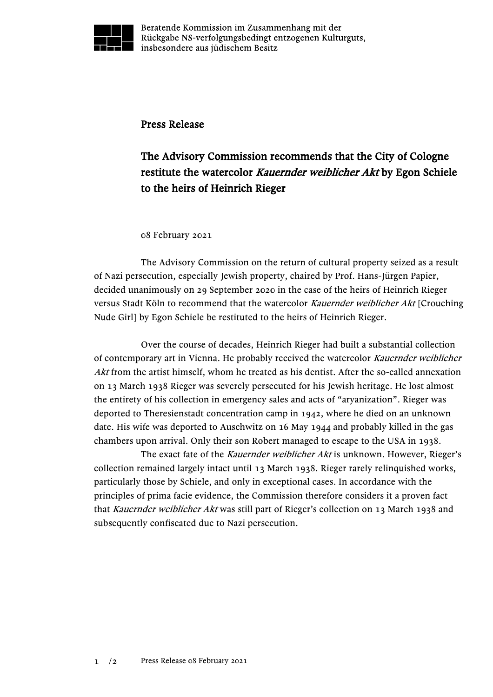

Beratende Kommission im Zusammenhang mit der Rückgabe NS-verfolgungsbedingt entzogenen Kulturguts, insbesondere aus jüdischem Besitz

## Press Release

## The Advisory Commission recommends that the City of Cologne restitute the watercolor Kauernder weiblicher Akt by Egon Schiele to the heirs of Heinrich Rieger

## 08 February 2021

The Advisory Commission on the return of cultural property seized as a result of Nazi persecution, especially Jewish property, chaired by Prof. Hans-Jürgen Papier, decided unanimously on 29 September 2020 in the case of the heirs of Heinrich Rieger versus Stadt Köln to recommend that the watercolor Kauernder weiblicher Akt [Crouching Nude Girl] by Egon Schiele be restituted to the heirs of Heinrich Rieger.

Over the course of decades, Heinrich Rieger had built a substantial collection of contemporary art in Vienna. He probably received the watercolor Kauernder weiblicher Akt from the artist himself, whom he treated as his dentist. After the so-called annexation on 13 March 1938 Rieger was severely persecuted for his Jewish heritage. He lost almost the entirety of his collection in emergency sales and acts of "aryanization". Rieger was deported to Theresienstadt concentration camp in 1942, where he died on an unknown date. His wife was deported to Auschwitz on 16 May 1944 and probably killed in the gas chambers upon arrival. Only their son Robert managed to escape to the USA in 1938.

The exact fate of the Kauernder weiblicher Akt is unknown. However, Rieger's collection remained largely intact until 13 March 1938. Rieger rarely relinquished works, particularly those by Schiele, and only in exceptional cases. In accordance with the principles of prima facie evidence, the Commission therefore considers it a proven fact that *Kauernder weiblicher Akt* was still part of Rieger's collection on 13 March 1938 and subsequently confiscated due to Nazi persecution.